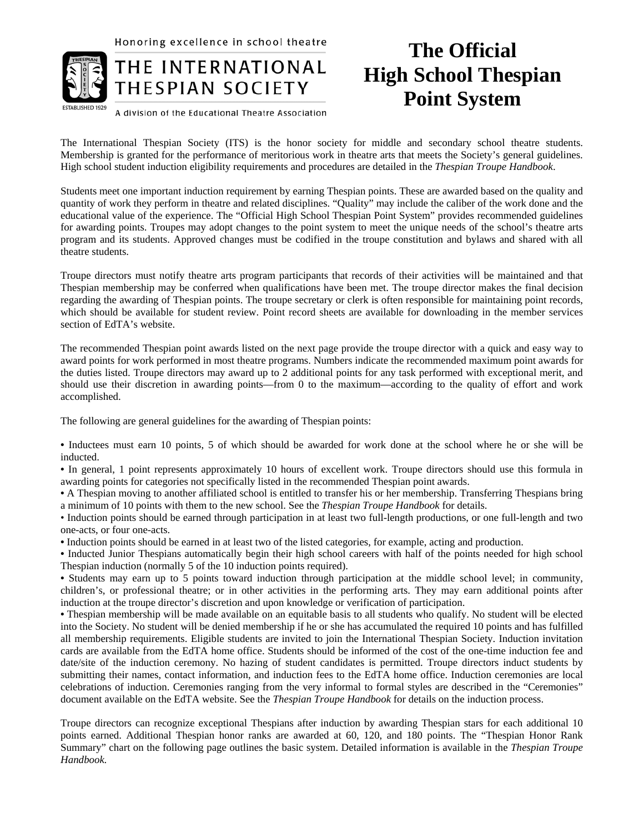Honoring excellence in school theatre



## THE INTERNATIONAL THESPIAN SOCIETY

## A division of the Educational Theatre Association

## **The Official High School Thespian Point System**

The International Thespian Society (ITS) is the honor society for middle and secondary school theatre students. Membership is granted for the performance of meritorious work in theatre arts that meets the Society's general guidelines. High school student induction eligibility requirements and procedures are detailed in the *Thespian Troupe Handbook*.

Students meet one important induction requirement by earning Thespian points. These are awarded based on the quality and quantity of work they perform in theatre and related disciplines. "Quality" may include the caliber of the work done and the educational value of the experience. The "Official High School Thespian Point System" provides recommended guidelines for awarding points. Troupes may adopt changes to the point system to meet the unique needs of the school's theatre arts program and its students. Approved changes must be codified in the troupe constitution and bylaws and shared with all theatre students.

Troupe directors must notify theatre arts program participants that records of their activities will be maintained and that Thespian membership may be conferred when qualifications have been met. The troupe director makes the final decision regarding the awarding of Thespian points. The troupe secretary or clerk is often responsible for maintaining point records, which should be available for student review. Point record sheets are available for downloading in the member services section of EdTA's website.

The recommended Thespian point awards listed on the next page provide the troupe director with a quick and easy way to award points for work performed in most theatre programs. Numbers indicate the recommended maximum point awards for the duties listed. Troupe directors may award up to 2 additional points for any task performed with exceptional merit, and should use their discretion in awarding points—from 0 to the maximum—according to the quality of effort and work accomplished.

The following are general guidelines for the awarding of Thespian points:

**•** Inductees must earn 10 points, 5 of which should be awarded for work done at the school where he or she will be inducted.

**•** In general, 1 point represents approximately 10 hours of excellent work. Troupe directors should use this formula in awarding points for categories not specifically listed in the recommended Thespian point awards.

**•** A Thespian moving to another affiliated school is entitled to transfer his or her membership. Transferring Thespians bring a minimum of 10 points with them to the new school. See the *Thespian Troupe Handbook* for details.

• Induction points should be earned through participation in at least two full-length productions, or one full-length and two one-acts, or four one-acts.

**•** Induction points should be earned in at least two of the listed categories, for example, acting and production.

**•** Inducted Junior Thespians automatically begin their high school careers with half of the points needed for high school Thespian induction (normally 5 of the 10 induction points required).

**•** Students may earn up to 5 points toward induction through participation at the middle school level; in community, children's, or professional theatre; or in other activities in the performing arts. They may earn additional points after induction at the troupe director's discretion and upon knowledge or verification of participation.

**•** Thespian membership will be made available on an equitable basis to all students who qualify. No student will be elected into the Society. No student will be denied membership if he or she has accumulated the required 10 points and has fulfilled all membership requirements. Eligible students are invited to join the International Thespian Society. Induction invitation cards are available from the EdTA home office. Students should be informed of the cost of the one-time induction fee and date/site of the induction ceremony. No hazing of student candidates is permitted. Troupe directors induct students by submitting their names, contact information, and induction fees to the EdTA home office. Induction ceremonies are local celebrations of induction. Ceremonies ranging from the very informal to formal styles are described in the "Ceremonies" document available on the EdTA website. See the *Thespian Troupe Handbook* for details on the induction process.

Troupe directors can recognize exceptional Thespians after induction by awarding Thespian stars for each additional 10 points earned. Additional Thespian honor ranks are awarded at 60, 120, and 180 points. The "Thespian Honor Rank Summary" chart on the following page outlines the basic system. Detailed information is available in the *Thespian Troupe Handbook.*